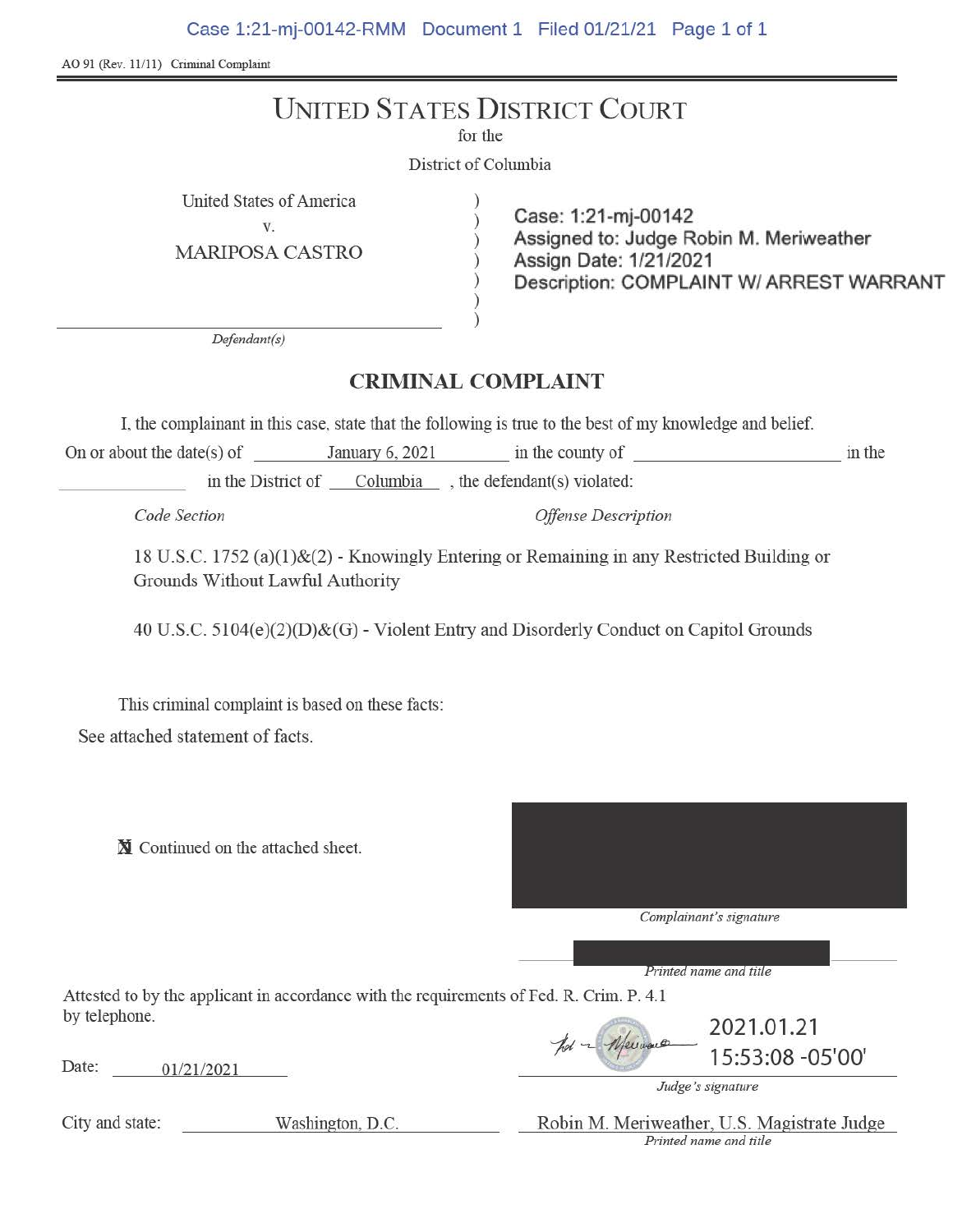Case 1:21-mj-00142-RMM Document 1 Filed 01/21/21 Page 1 of 1

AO 91 (Rev. 11/11) Criminal Complaint

# UNITED STATES DISTRICT COURT

for the

District of Columbia

United States of America )

v. **Case: 1:21-mj-00142** ) **Assigned to: Judge** Robin **M. Meriweather**  MARIPOSA CASTRO ) Assign **Date: 1/21/2021**  ) **Description: COMPLAINT W/ ARREST WARRANT** 

*Defendant(s)* 

## **CRIMINAL COMPLAINT**

) )

I, the complainant in this case, state that the following is tme to the best of my knowledge and belief.

On or about the date(s) of January 6, 2021 in the county of  $\qquad$  in the in the District of Columbia , the defendant(s) violated:

*Code Section Offense Description* 

18 U.S.C. 1752 (a)(l)&(2)- Knowingly Entering or Remaining in any Restricted Building or Grounds Without Lawful Authority

40 U.S.C. 5104(e)(2)(D)&(G) - Violent Entry and Disorderly Conduct on Capitol Grounds

This criminal complaint is based on these facts: See attached statement of facts.

N Continued on the attached sheet.



Printed name and title

Attested to by the applicant in accordance with the requirements of Fed. R. Crim. P. 4. 1 by telephone. 2021.01.21

Date: 01/21/2021  $\frac{1}{15:53:08-05'00''}$ 

*Judge's signature* 

City and state: Washington, D.C. Robin M. Meriweather, U.S. Magistrate Judge

*Printed name and title*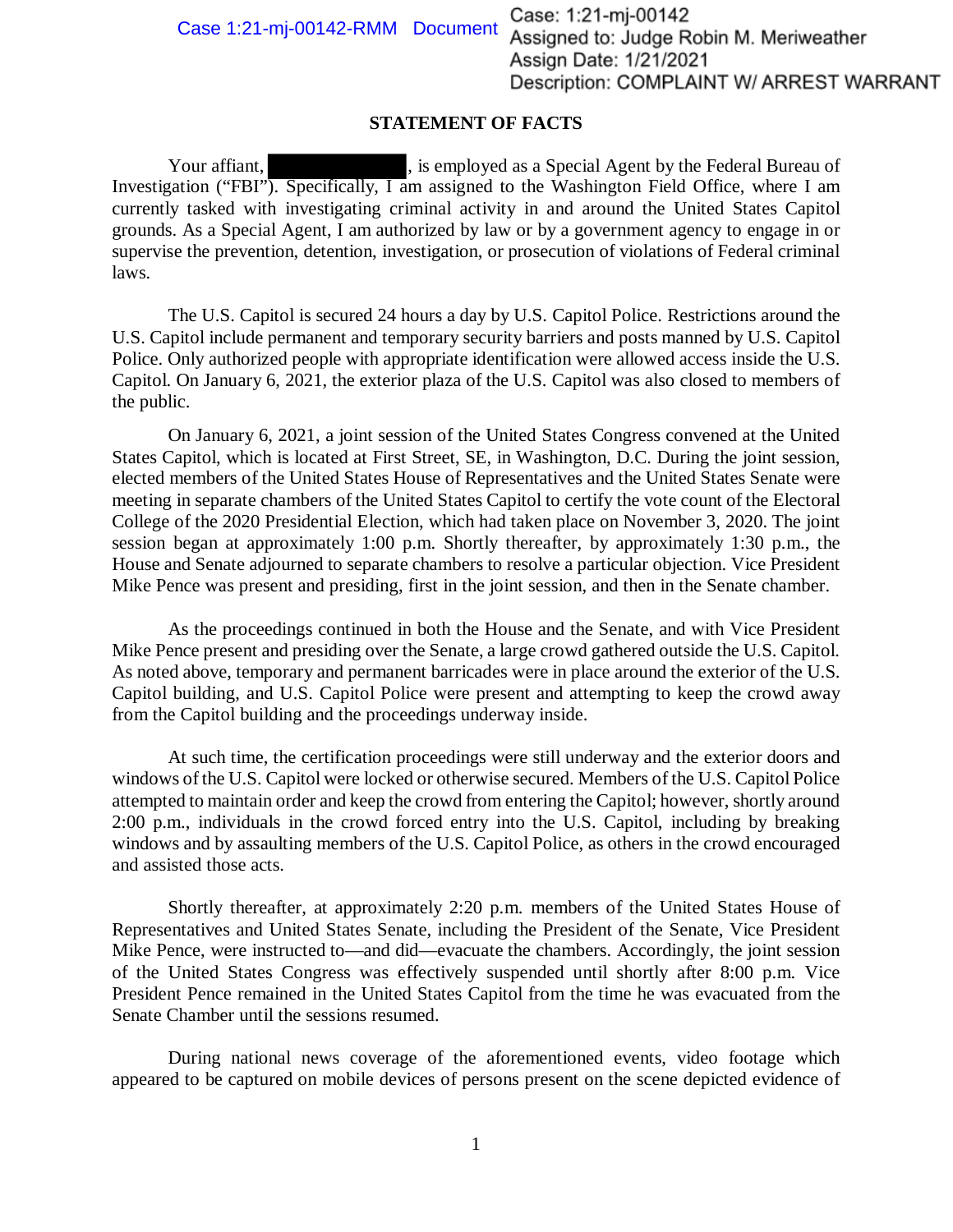Case 1:21-mj-00142-RMM Document Case: 1:21-mj-00142 Assigned to: Judge Robin M. Meriweather Assign Date: 1/21/2021 Description: COMPLAINT W/ ARREST WARRANT

### **STATEMENT OF FACTS**

Your affiant, Samployed as a Special Agent by the Federal Bureau of Investigation ("FBI"). Specifically, I am assigned to the Washington Field Office, where I am currently tasked with investigating criminal activity in and around the United States Capitol grounds. As a Special Agent, I am authorized by law or by a government agency to engage in or supervise the prevention, detention, investigation, or prosecution of violations of Federal criminal laws.

The U.S. Capitol is secured 24 hours a day by U.S. Capitol Police. Restrictions around the U.S. Capitol include permanent and temporary security barriers and posts manned by U.S. Capitol Police. Only authorized people with appropriate identification were allowed access inside the U.S. Capitol. On January 6, 2021, the exterior plaza of the U.S. Capitol was also closed to members of the public.

On January 6, 2021, a joint session of the United States Congress convened at the United States Capitol, which is located at First Street, SE, in Washington, D.C. During the joint session, elected members of the United States House of Representatives and the United States Senate were meeting in separate chambers of the United States Capitol to certify the vote count of the Electoral College of the 2020 Presidential Election, which had taken place on November 3, 2020. The joint session began at approximately 1:00 p.m. Shortly thereafter, by approximately 1:30 p.m., the House and Senate adjourned to separate chambers to resolve a particular objection. Vice President Mike Pence was present and presiding, first in the joint session, and then in the Senate chamber.

As the proceedings continued in both the House and the Senate, and with Vice President Mike Pence present and presiding over the Senate, a large crowd gathered outside the U.S. Capitol. As noted above, temporary and permanent barricades were in place around the exterior of the U.S. Capitol building, and U.S. Capitol Police were present and attempting to keep the crowd away from the Capitol building and the proceedings underway inside.

At such time, the certification proceedings were still underway and the exterior doors and windows of the U.S. Capitol were locked or otherwise secured. Members of the U.S. Capitol Police attempted to maintain order and keep the crowd from entering the Capitol; however, shortly around 2:00 p.m., individuals in the crowd forced entry into the U.S. Capitol, including by breaking windows and by assaulting members of the U.S. Capitol Police, as others in the crowd encouraged and assisted those acts. derway and the exterior<br>Members of the U.S. Capi<br>Pe Capitol; however, short<br>S. Capitol, including by

Shortly thereafter, at approximately 2:20 p.m. members of the United States House of Representatives and United States Senate, including the President of the Senate, Vice President Mike Pence, were instructed to—and did—evacuate the chambers. Accordingly, the joint session of the United States Congress was effectively suspended until shortly after 8:00 p.m. Vice President Pence remained in the United States Capitol from the time he was evacuated from the Senate Chamber until the sessions resumed.

During national news coverage of the aforementioned events, video footage which appeared to be captured on mobile devices of persons present on the scene depicted evidence of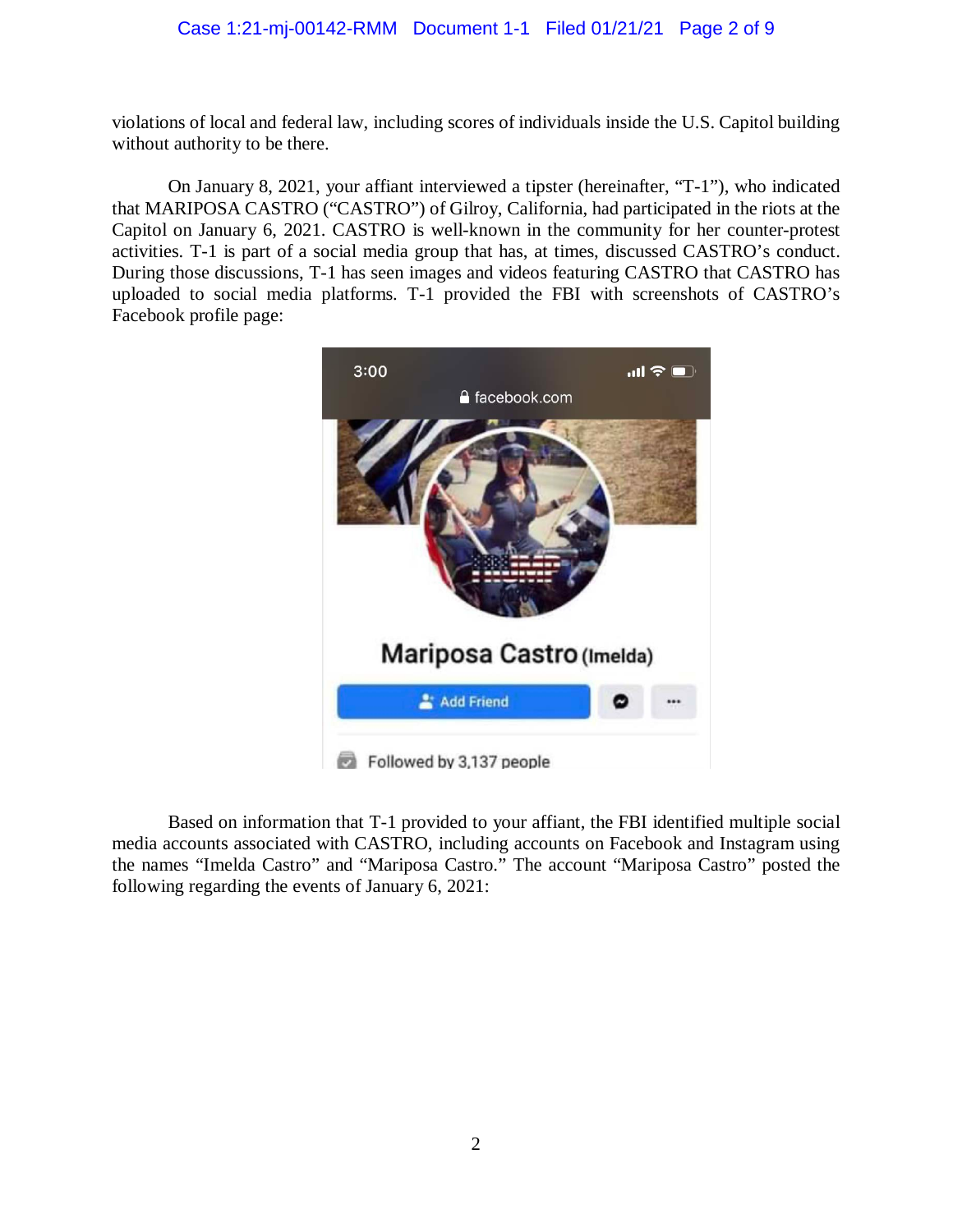### Case 1:21-mj-00142-RMM Document 1-1 Filed 01/21/21 Page 2 of 9

 violations of local and federal law, including scores of individuals inside the U.S. Capitol building without authority to be there.

 On January 8, 2021, your affiant interviewed a tipster (hereinafter, "T-1"), who indicated that MARIPOSA CASTRO ("CASTRO") of Gilroy, California, had participated in the riots at the activities. T-1 is part of a social media group that has, at times, discussed CASTRO's conduct. uploaded to social media platforms. T-1 provided the FBI with screenshots of CASTRO's Capitol on January 6, 2021. CASTRO is well-known in the community for her counter-protest During those discussions, T-1 has seen images and videos featuring CASTRO that CASTRO has Facebook profile page:



 Based on information that T-1 provided to your affiant, the FBI identified multiple social media accounts associated with CASTRO, including accounts on Facebook and Instagram using the names "Imelda Castro" and "Mariposa Castro." The account "Mariposa Castro" posted the following regarding the events of January 6, 2021: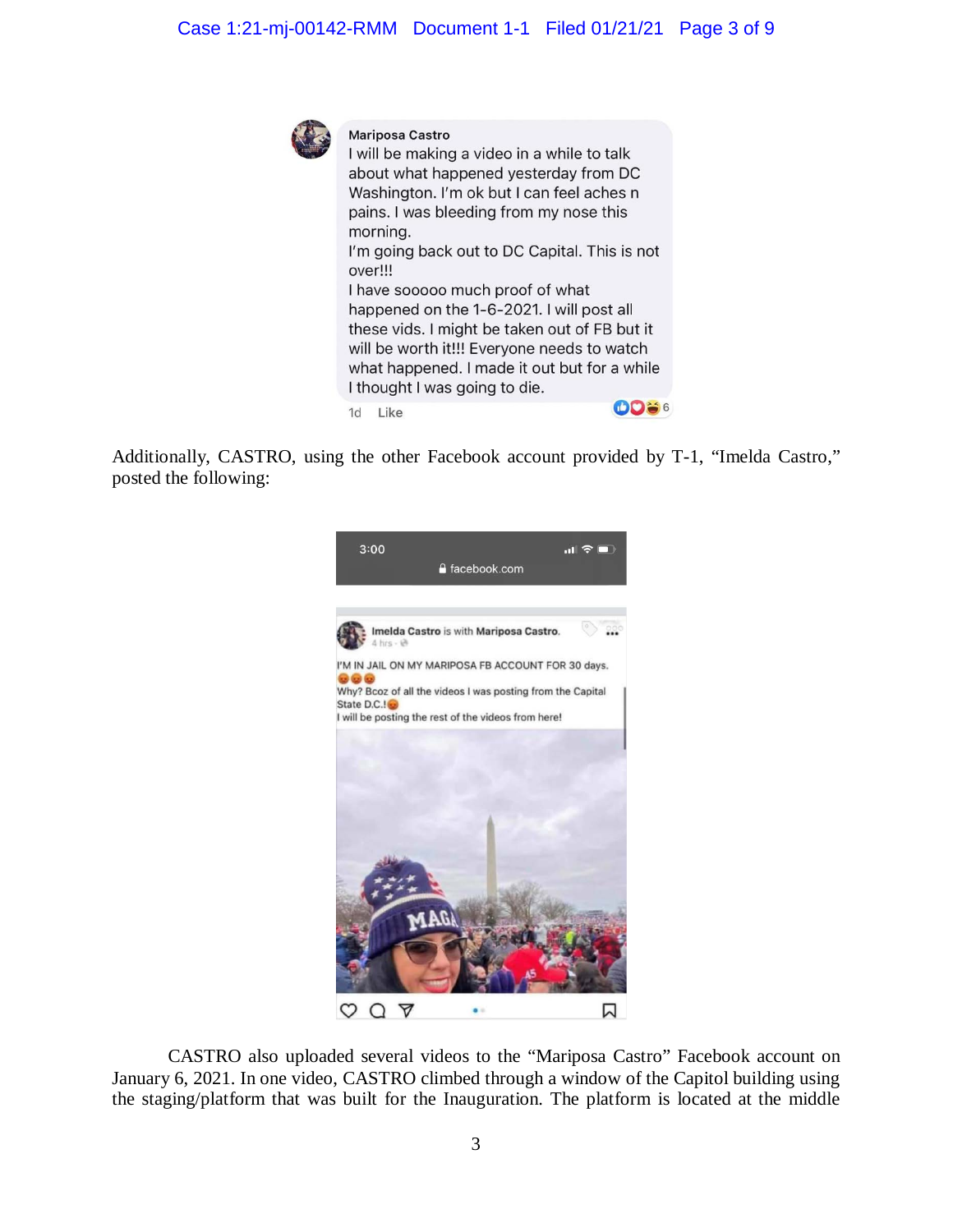

#### **Mariposa Castro**

I will be making a video in a while to talk about what happened yesterday from DC Washington. I'm ok but I can feel aches n pains. I was bleeding from my nose this morning. I'm going back out to DC Capital. This is not over!!! I have sooooo much proof of what happened on the 1-6-2021. I will post all these vids. I might be taken out of FB but it will be worth it!!! Everyone needs to watch what happened. I made it out but for a while I thought I was going to die. **OD** 56 1d **Like** 

Additionally, CASTRO, using the other Facebook account provided by T-1, "Imelda Castro," posted the following:



 CASTRO also uploaded several videos to the "Mariposa Castro" Facebook account on January 6, 2021. In one video, CASTRO climbed through a window of the Capitol building using the staging/platform that was built for the Inauguration. The platform is located at the middle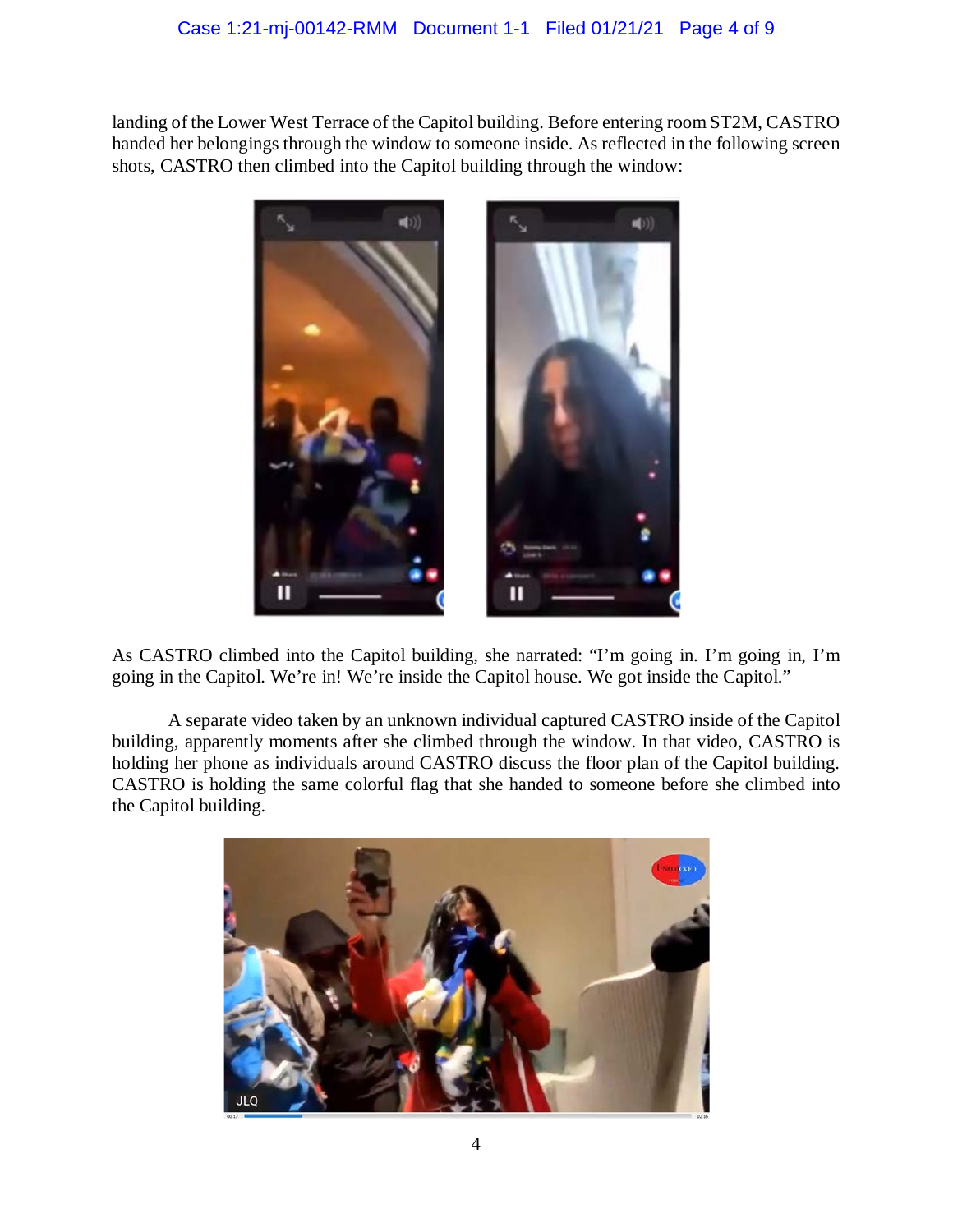shots, CASTRO then climbed into the Capitol building through the window: landing of the Lower West Terrace of the Capitol building. Before entering room ST2M, CASTRO handed her belongings through the window to someone inside. As reflected in the following screen



As CASTRO climbed into the Capitol building, she narrated: "I'm going in. I'm going in, I'm going in the Capitol. We're in! We're inside the Capitol house. We got inside the Capitol."

 A separate video taken by an unknown individual captured CASTRO inside of the Capitol holding her phone as individuals around CASTRO discuss the floor plan of the Capitol building. CASTRO is holding the same colorful flag that she handed to someone before she climbed into building, apparently moments after she climbed through the window. In that video, CASTRO is the Capitol building.

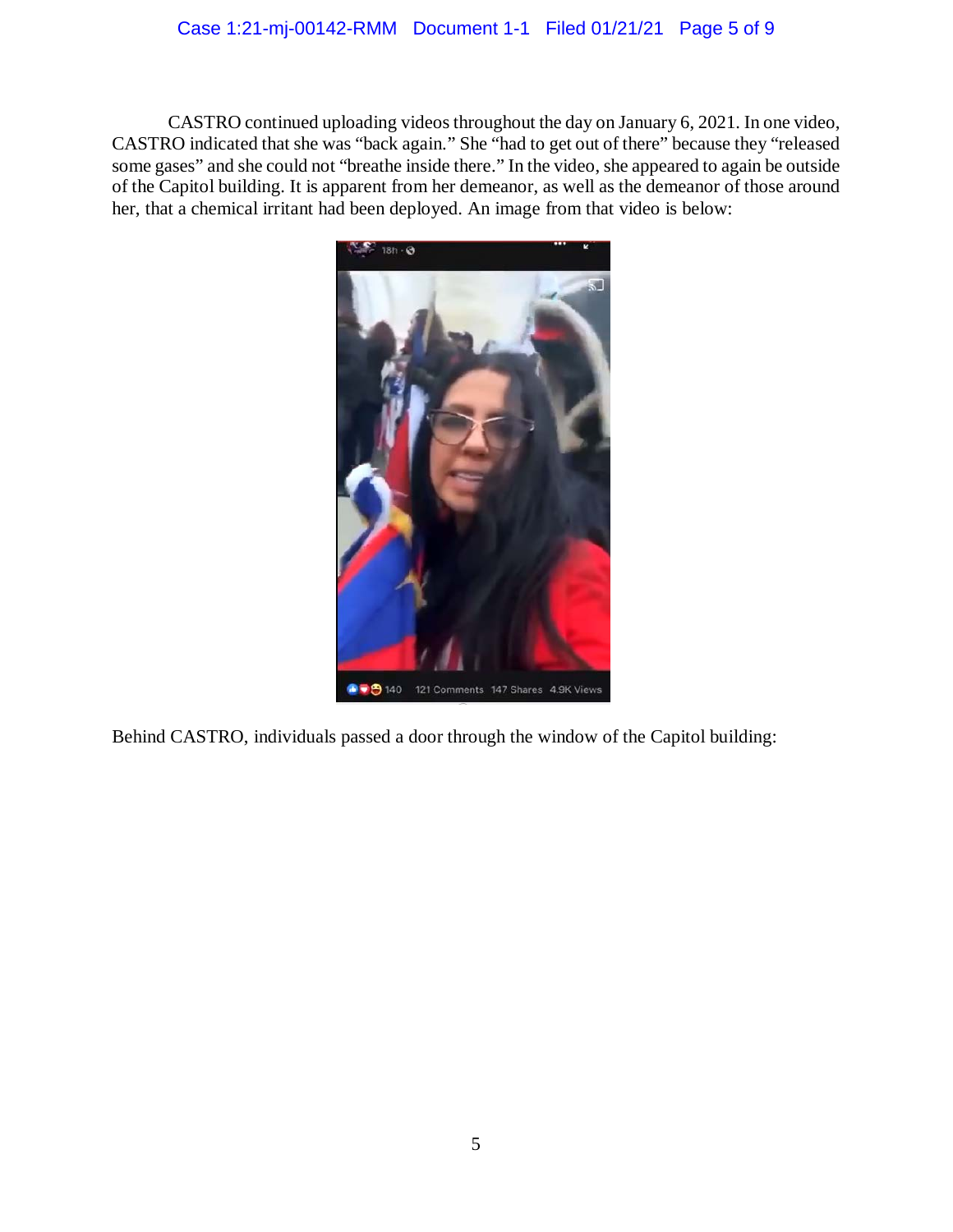## Case 1:21-mj-00142-RMM Document 1-1 Filed 01/21/21 Page 5 of 9

 CASTRO indicated that she was "back again." She "had to get out of there" because they "released of the Capitol building. It is apparent from her demeanor, as well as the demeanor of those around her, that a chemical irritant had been deployed. An image from that video is below: CASTRO continued uploading videos throughout the day on January 6, 2021. In one video, some gases" and she could not "breathe inside there." In the video, she appeared to again be outside



Behind CASTRO, individuals passed a door through the window of the Capitol building: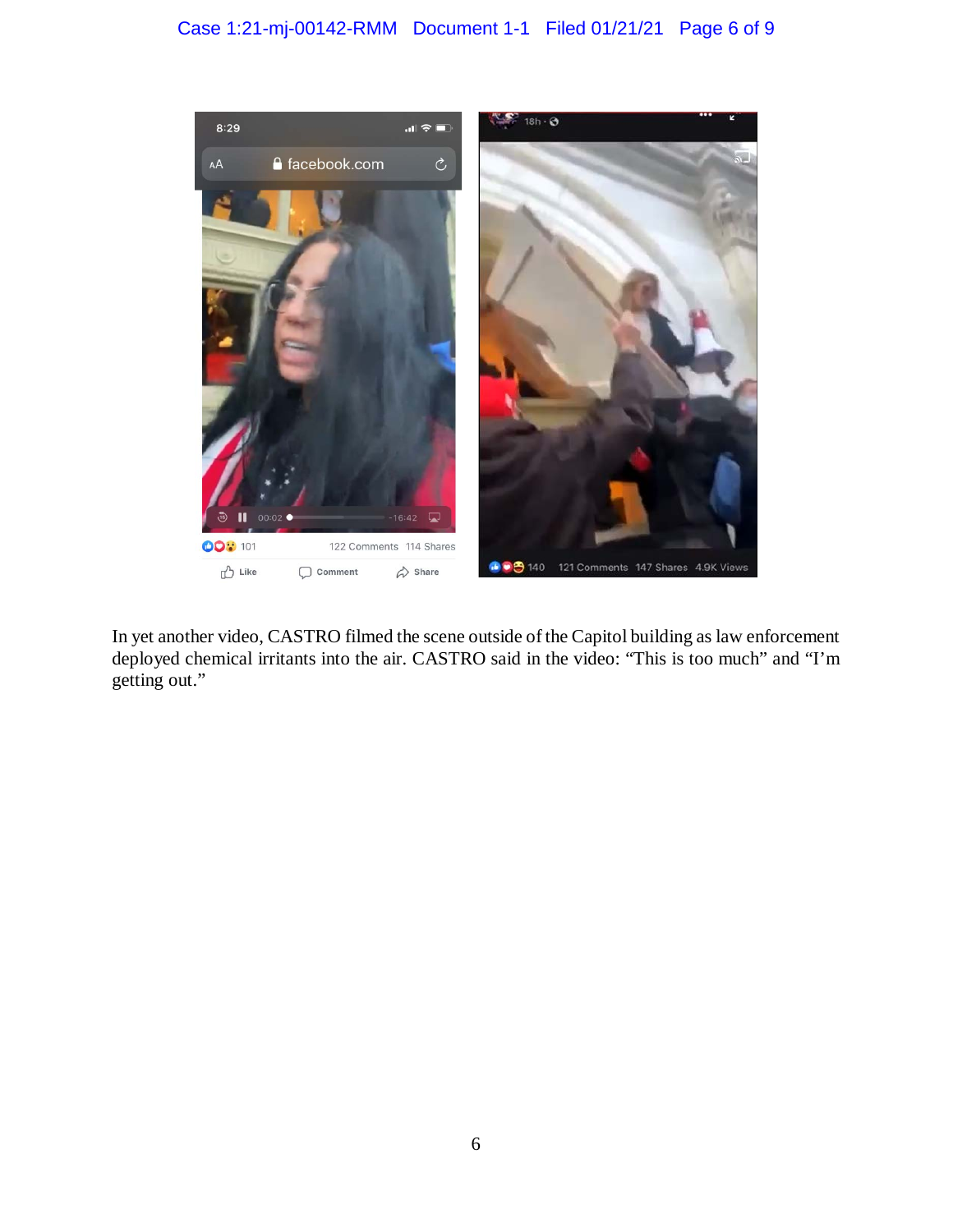## Case 1:21-mj-00142-RMM Document 1-1 Filed 01/21/21 Page 6 of 9



 In yet another video, CASTRO filmed the scene outside of the Capitol building as law enforcement deployed chemical irritants into the air. CASTRO said in the video: "This is too much" and "I'm getting out."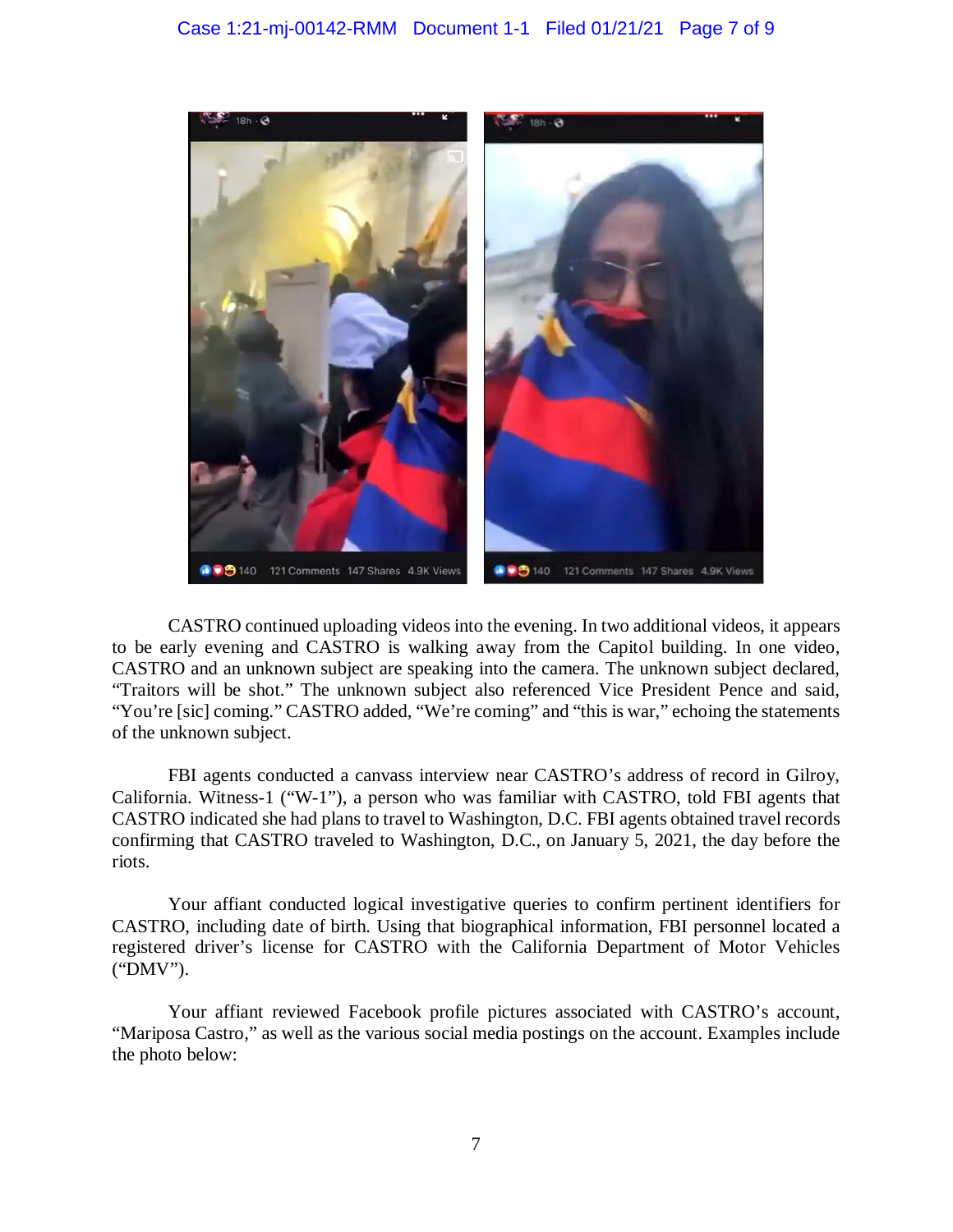

 CASTRO continued uploading videos into the evening. In two additional videos, it appears to be early evening and CASTRO is walking away from the Capitol building. In one video, CASTRO and an unknown subject are speaking into the camera. The unknown subject declared, "Traitors will be shot." The unknown subject also referenced Vice President Pence and said, "You're [sic] coming." CASTRO added, "We're coming" and "this is war," echoing the statements of the unknown subject.

FBI agents conducted a canvass interview near CASTRO's address of record in Gilroy, California. Witness-1 ("W-1"), a person who was familiar with CASTRO, told FBI agents that CASTRO indicated she had plans to travel to Washington, D.C. FBI agents obtained travel records confirming that CASTRO traveled to Washington, D.C., on January 5, 2021, the day before the riots.

 Your affiant conducted logical investigative queries to confirm pertinent identifiers for CASTRO, including date of birth. Using that biographical information, FBI personnel located a registered driver's license for CASTRO with the California Department of Motor Vehicles ("DMV").

 "Mariposa Castro," as well as the various social media postings on the account. Examples include Your affiant reviewed Facebook profile pictures associated with CASTRO's account, the photo below: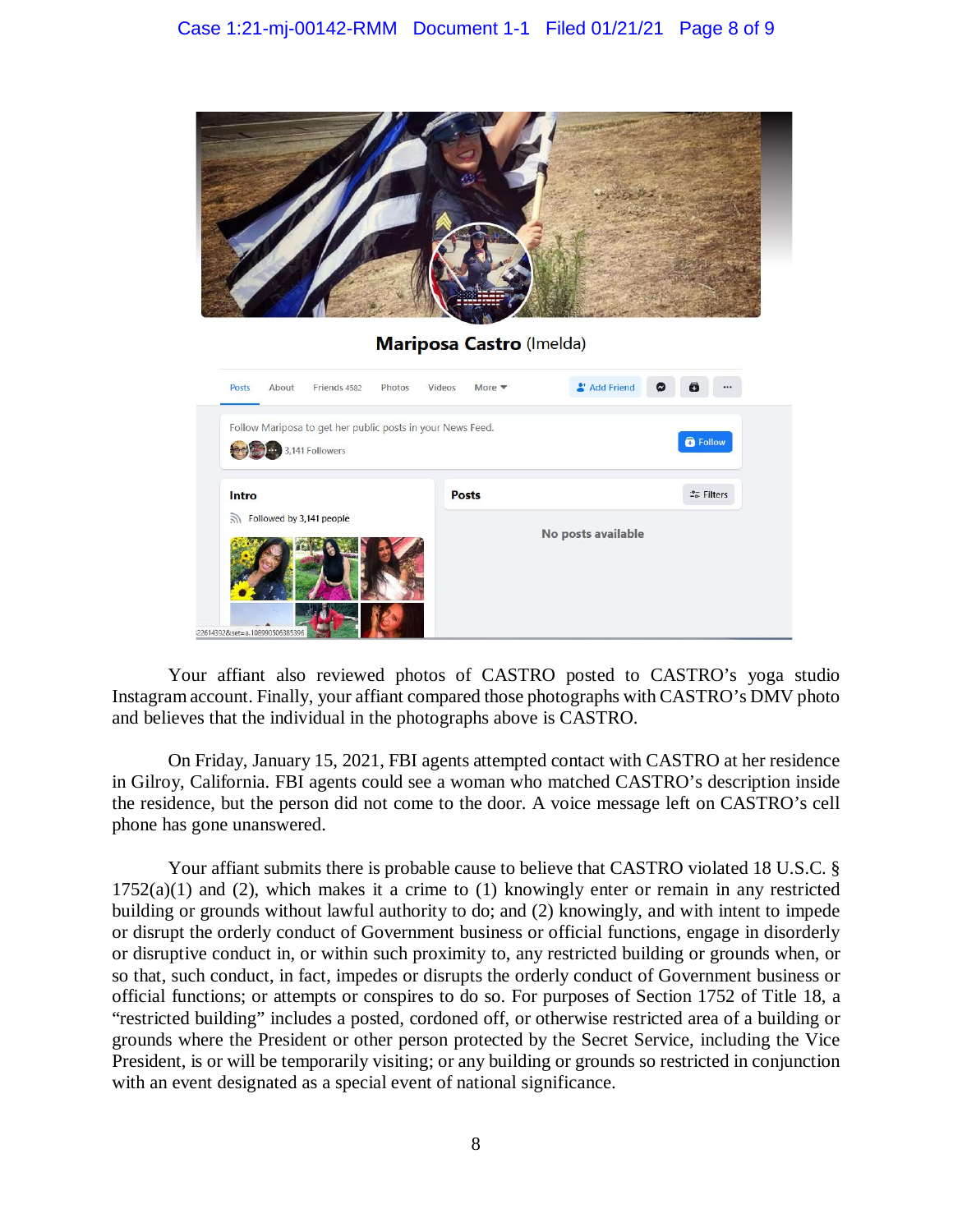

## **Mariposa Castro** (Imelda)

| Friends 4582<br>Posts<br>About<br>Photos                                      | Videos<br>More $\blacktriangledown$ | Add Friend<br>$\boldsymbol{\omega}$ | $\bullet$<br>            |
|-------------------------------------------------------------------------------|-------------------------------------|-------------------------------------|--------------------------|
| Follow Mariposa to get her public posts in your News Feed.<br>3,141 Followers |                                     |                                     | <b>B</b> Follow          |
| Intro                                                                         | <b>Posts</b>                        |                                     | 2 <sub>0</sub> . Filters |
| Followed by 3,141 people<br>$\mathcal{Y}$                                     |                                     | No posts available                  |                          |
| 1226143928 set=a.108990506385396                                              |                                     |                                     |                          |

 Your affiant also reviewed photos of CASTRO posted to CASTRO's yoga studio and believes that the individual in the photographs above is CASTRO. Instagram account. Finally, your affiant compared those photographs with CASTRO's DMV photo

 the residence, but the person did not come to the door. A voice message left on CASTRO's cell On Friday, January 15, 2021, FBI agents attempted contact with CASTRO at her residence in Gilroy, California. FBI agents could see a woman who matched CASTRO's description inside phone has gone unanswered.

 Your affiant submits there is probable cause to believe that CASTRO violated 18 U.S.C. §  $1752(a)(1)$  and (2), which makes it a crime to (1) knowingly enter or remain in any restricted building or grounds without lawful authority to do; and (2) knowingly, and with intent to impede or disrupt the orderly conduct of Government business or official functions, engage in disorderly or disruptive conduct in, or within such proximity to, any restricted building or grounds when, or grounds where the President or other person protected by the Secret Service, including the Vice so that, such conduct, in fact, impedes or disrupts the orderly conduct of Government business or official functions; or attempts or conspires to do so. For purposes of Section 1752 of Title 18, a "restricted building" includes a posted, cordoned off, or otherwise restricted area of a building or President, is or will be temporarily visiting; or any building or grounds so restricted in conjunction with an event designated as a special event of national significance.